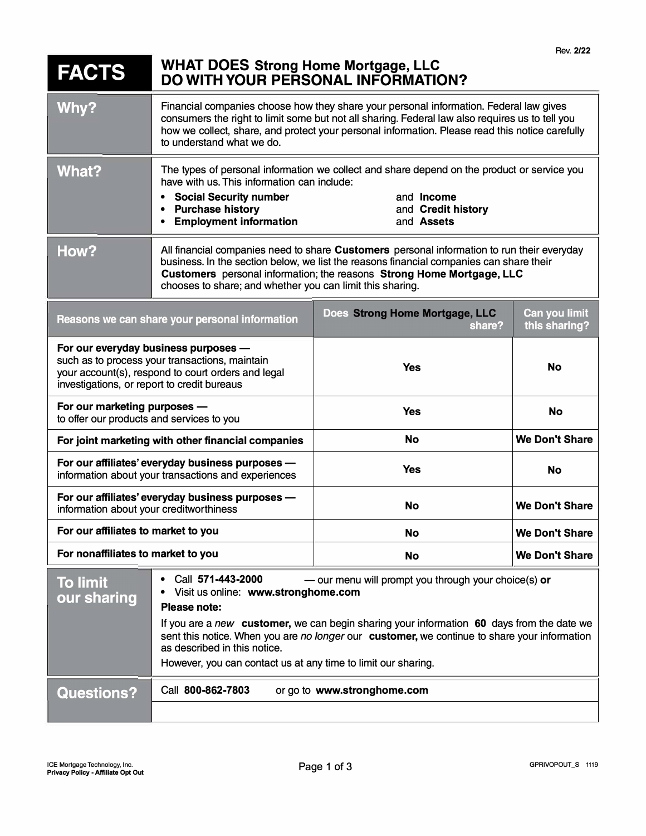# **FACTS WHAT DOES Strong Home Mortgage, LLC DO WITH YOUR PERSONAL INFORMATION?**

| Why?  | Financial companies choose how they share your personal information. Federal law gives<br>consumers the right to limit some but not all sharing. Federal law also requires us to tell you<br>how we collect, share, and protect your personal information. Please read this notice carefully<br>to understand what we do.   |                                                       |
|-------|-----------------------------------------------------------------------------------------------------------------------------------------------------------------------------------------------------------------------------------------------------------------------------------------------------------------------------|-------------------------------------------------------|
| What? | The types of personal information we collect and share depend on the product or service you<br>have with us. This information can include:<br><b>Social Security number</b><br><b>Purchase history</b><br><b>Employment information</b>                                                                                     | and <b>Income</b><br>and Credit history<br>and Assets |
| How?  | All financial companies need to share Customers personal information to run their everyday<br>business. In the section below, we list the reasons financial companies can share their<br>Customers personal information; the reasons Strong Home Mortgage, LLC<br>chooses to share; and whether you can limit this sharing. |                                                       |

| Reasons we can share your personal information                                                                                                                                              | Does Strong Home Mortgage, LLC<br>share? | Can you limit<br>this sharing? |
|---------------------------------------------------------------------------------------------------------------------------------------------------------------------------------------------|------------------------------------------|--------------------------------|
| For our everyday business purposes -<br>such as to process your transactions, maintain<br>your account(s), respond to court orders and legal<br>investigations, or report to credit bureaus | <b>Yes</b>                               | <b>No</b>                      |
| For our marketing purposes -<br>to offer our products and services to you                                                                                                                   | <b>Yes</b>                               | <b>No</b>                      |
| For joint marketing with other financial companies                                                                                                                                          | No                                       | <b>We Don't Share</b>          |
| For our affiliates' everyday business purposes -<br>information about your transactions and experiences                                                                                     | <b>Yes</b>                               | <b>No</b>                      |
| For our affiliates' everyday business purposes -<br>information about your creditworthiness                                                                                                 | No                                       | <b>We Don't Share</b>          |
| For our affiliates to market to you                                                                                                                                                         | No                                       | <b>We Don't Share</b>          |
| For nonaffiliates to market to you                                                                                                                                                          | No                                       | <b>We Don't Share</b>          |

| • Call $571 - 443 - 2000$<br>- our menu will prompt you through your choice(s) or<br>• Visit us online: www.stronghome.com<br>Please note:                                                                                                                                                 |  |
|--------------------------------------------------------------------------------------------------------------------------------------------------------------------------------------------------------------------------------------------------------------------------------------------|--|
| If you are a new customer, we can begin sharing your information 60 days from the date we<br>sent this notice. When you are no longer our customer, we continue to share your information<br>as described in this notice.<br>However, you can contact us at any time to limit our sharing. |  |
| Call 800-862-7803<br>or go to www.stronghome.com                                                                                                                                                                                                                                           |  |
|                                                                                                                                                                                                                                                                                            |  |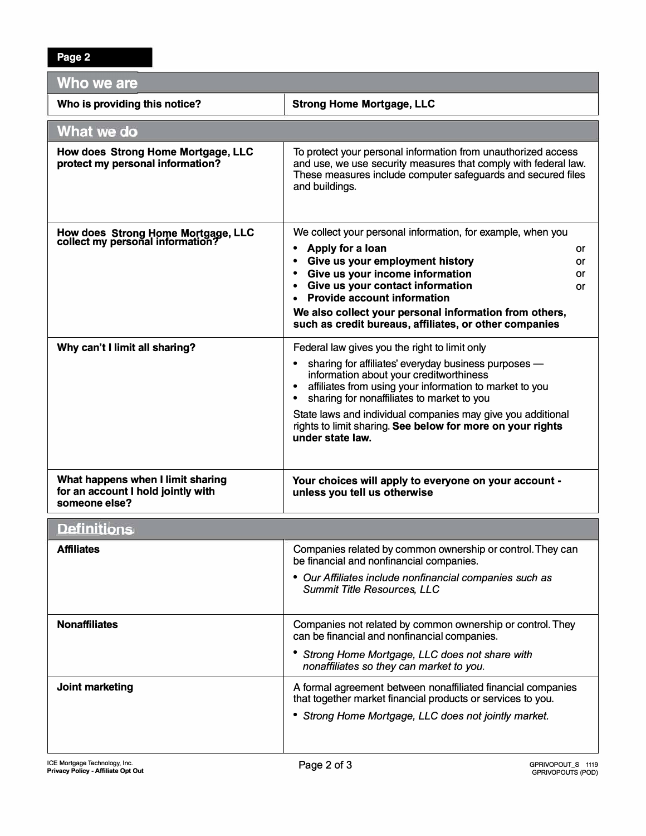| Who we are                                                                               |                                                                                                                                                                                                                    |  |  |
|------------------------------------------------------------------------------------------|--------------------------------------------------------------------------------------------------------------------------------------------------------------------------------------------------------------------|--|--|
| Who is providing this notice?                                                            | <b>Strong Home Mortgage, LLC</b>                                                                                                                                                                                   |  |  |
| What we do                                                                               |                                                                                                                                                                                                                    |  |  |
| How does Strong Home Mortgage, LLC<br>protect my personal information?                   | To protect your personal information from unauthorized access<br>and use, we use security measures that comply with federal law.<br>These measures include computer safeguards and secured files<br>and buildings. |  |  |
| How does Strong Home Mortgage, LLC<br>collect my personal information?                   | We collect your personal information, for example, when you                                                                                                                                                        |  |  |
|                                                                                          | Apply for a loan<br>or<br>$\bullet$<br>Give us your employment history<br>$\bullet$<br>or                                                                                                                          |  |  |
|                                                                                          | Give us your income information<br>$\bullet$<br>or                                                                                                                                                                 |  |  |
|                                                                                          | Give us your contact information<br>$\bullet$<br>or<br><b>Provide account information</b><br>$\bullet$                                                                                                             |  |  |
|                                                                                          | We also collect your personal information from others,                                                                                                                                                             |  |  |
|                                                                                          | such as credit bureaus, affiliates, or other companies                                                                                                                                                             |  |  |
| Why can't I limit all sharing?                                                           | Federal law gives you the right to limit only                                                                                                                                                                      |  |  |
|                                                                                          | sharing for affiliates' everyday business purposes -                                                                                                                                                               |  |  |
|                                                                                          | information about your creditworthiness<br>affiliates from using your information to market to you                                                                                                                 |  |  |
|                                                                                          | sharing for nonaffiliates to market to you                                                                                                                                                                         |  |  |
|                                                                                          | State laws and individual companies may give you additional<br>rights to limit sharing. See below for more on your rights<br>under state law.                                                                      |  |  |
| What happens when I limit sharing<br>for an account I hold jointly with<br>someone else? | Your choices will apply to everyone on your account -<br>unless you tell us otherwise                                                                                                                              |  |  |
| <b>Definitions</b>                                                                       |                                                                                                                                                                                                                    |  |  |
| <b>Affiliates</b>                                                                        | Companies related by common ownership or control. They can<br>be financial and nonfinancial companies.                                                                                                             |  |  |
|                                                                                          | • Our Affiliates include nonfinancial companies such as<br>Summit Title Resources, LLC                                                                                                                             |  |  |
| <b>Nonaffiliates</b>                                                                     | Companies not related by common ownership or control. They<br>can be financial and nonfinancial companies.                                                                                                         |  |  |
|                                                                                          | Strong Home Mortgage, LLC does not share with<br>nonaffiliates so they can market to you.                                                                                                                          |  |  |
| Joint marketing                                                                          | A formal agreement between nonaffiliated financial companies<br>that together market financial products or services to you.                                                                                        |  |  |
|                                                                                          | • Strong Home Mortgage, LLC does not jointly market.                                                                                                                                                               |  |  |
|                                                                                          |                                                                                                                                                                                                                    |  |  |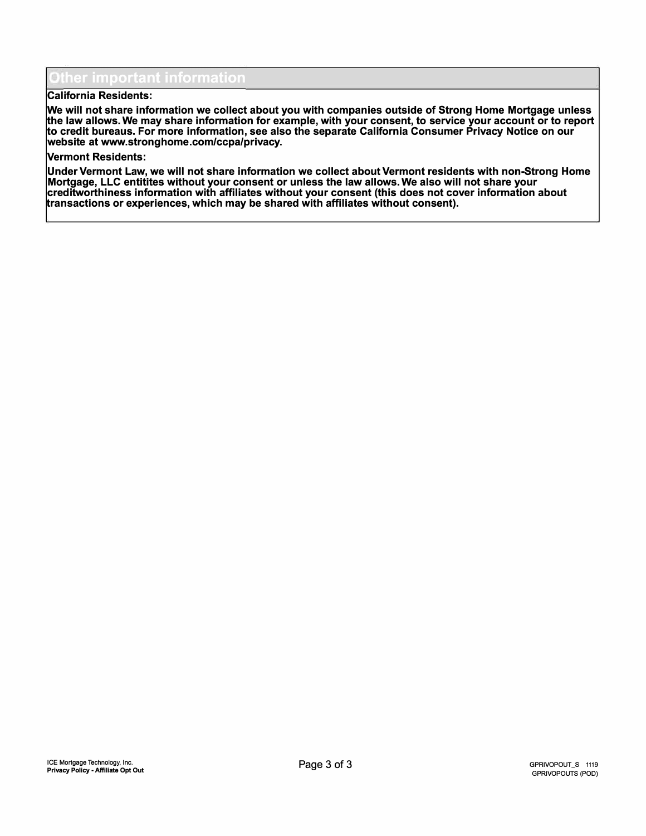## $^{\prime}$  important information

### **California Residents:**

**We will not share information we collect about you with companies outside of Strong Home Mortgage unless the law allows. We may share information for example, with your consent, to service your account or to report to credit bureaus. For more information, see also the separate California Consumer Privacy Notice on our website at www.stronghome.com/ccpa/privacy.** 

#### **Vermont Residents:**

**Under Vermont Law, we will not share information we collect about Vermont residents with non-Strong Home Mortgage, LLC entitites without your consent or unless the law allows. We also will not share your creditworthiness information with affiliates without your consent (this does not cover information about transactions or experiences, which may be shared with affiliates without consent).**